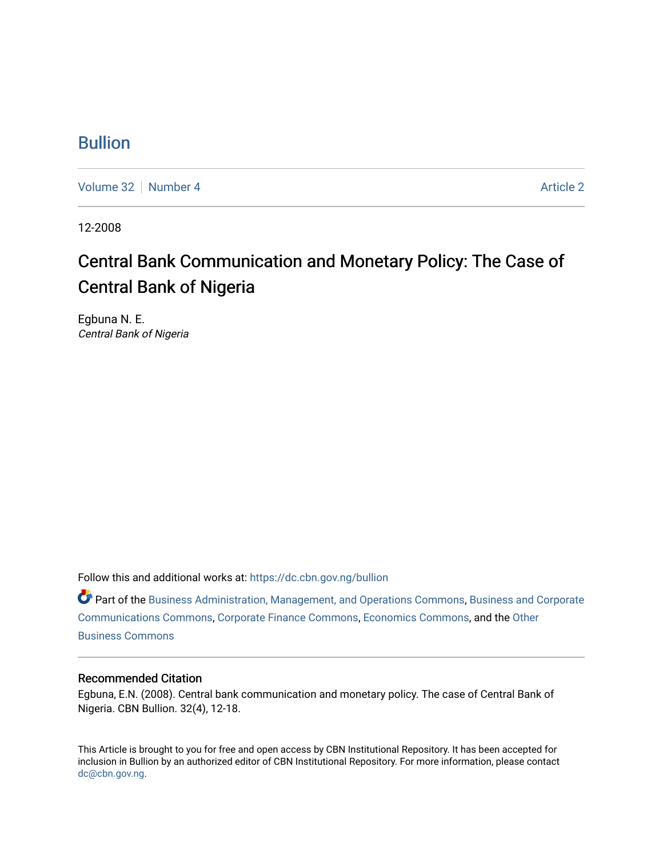### [Bullion](https://dc.cbn.gov.ng/bullion)

[Volume 32](https://dc.cbn.gov.ng/bullion/vol32) [Number 4](https://dc.cbn.gov.ng/bullion/vol32/iss4) [Article 2](https://dc.cbn.gov.ng/bullion/vol32/iss4/2) Article 2

12-2008

## Central Bank Communication and Monetary Policy: The Case of Central Bank of Nigeria

Egbuna N. E. Central Bank of Nigeria

Follow this and additional works at: [https://dc.cbn.gov.ng/bullion](https://dc.cbn.gov.ng/bullion?utm_source=dc.cbn.gov.ng%2Fbullion%2Fvol32%2Fiss4%2F2&utm_medium=PDF&utm_campaign=PDFCoverPages) 

Part of the [Business Administration, Management, and Operations Commons](http://network.bepress.com/hgg/discipline/623?utm_source=dc.cbn.gov.ng%2Fbullion%2Fvol32%2Fiss4%2F2&utm_medium=PDF&utm_campaign=PDFCoverPages), [Business and Corporate](http://network.bepress.com/hgg/discipline/627?utm_source=dc.cbn.gov.ng%2Fbullion%2Fvol32%2Fiss4%2F2&utm_medium=PDF&utm_campaign=PDFCoverPages)  [Communications Commons,](http://network.bepress.com/hgg/discipline/627?utm_source=dc.cbn.gov.ng%2Fbullion%2Fvol32%2Fiss4%2F2&utm_medium=PDF&utm_campaign=PDFCoverPages) [Corporate Finance Commons](http://network.bepress.com/hgg/discipline/629?utm_source=dc.cbn.gov.ng%2Fbullion%2Fvol32%2Fiss4%2F2&utm_medium=PDF&utm_campaign=PDFCoverPages), [Economics Commons](http://network.bepress.com/hgg/discipline/340?utm_source=dc.cbn.gov.ng%2Fbullion%2Fvol32%2Fiss4%2F2&utm_medium=PDF&utm_campaign=PDFCoverPages), and the [Other](http://network.bepress.com/hgg/discipline/647?utm_source=dc.cbn.gov.ng%2Fbullion%2Fvol32%2Fiss4%2F2&utm_medium=PDF&utm_campaign=PDFCoverPages)  [Business Commons](http://network.bepress.com/hgg/discipline/647?utm_source=dc.cbn.gov.ng%2Fbullion%2Fvol32%2Fiss4%2F2&utm_medium=PDF&utm_campaign=PDFCoverPages) 

#### Recommended Citation

Egbuna, E.N. (2008). Central bank communication and monetary policy. The case of Central Bank of Nigeria. CBN Bullion. 32(4), 12-18.

This Article is brought to you for free and open access by CBN Institutional Repository. It has been accepted for inclusion in Bullion by an authorized editor of CBN Institutional Repository. For more information, please contact [dc@cbn.gov.ng](mailto:dc@cbn.gov.ng).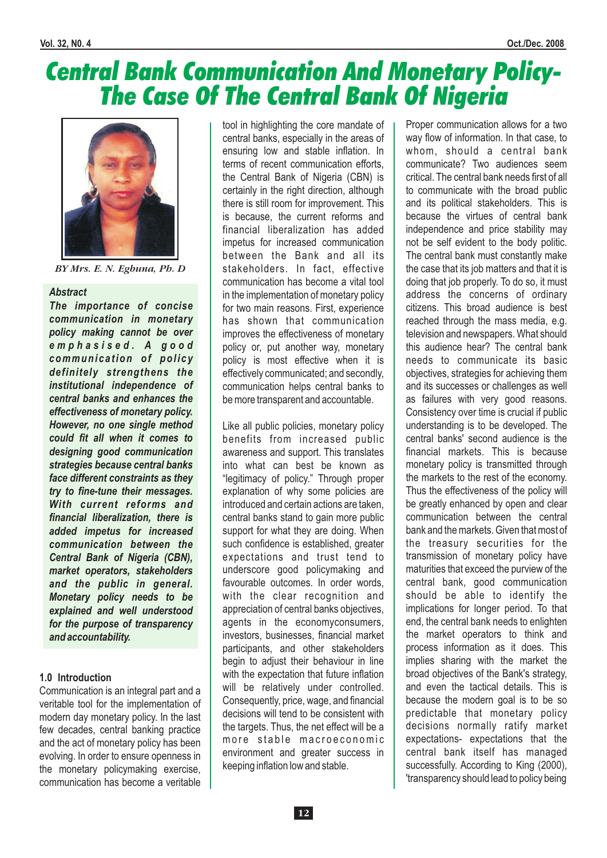# Central Bank Communication And Monetary Policy-The Case Of The Central Bank Of Nigeria



*BY Mrs. E. N. Egbuna, Ph. D*

#### *Abstract*

*The importance of concise communication in monetary policy making cannot be over e m p h a s i s e d . A g o o d communication of policy definitely strengthens the institutional independence of central banks and enhances the effectiveness of monetary policy. However, no one single method could fit all when it comes to designing good communication strategies because central banks face different constraints as they try to fine-tune their messages. With current reforms and financial liberalization, there is added impetus for increased communication between the Central Bank of Nigeria (CBN), market operators, stakeholders and the public in general. Monetary policy needs to be explained and well understood for the purpose of transparency and accountability.*

#### **1.0 Introduction**

Communication is an integral part and a veritable tool for the implementation of modern day monetary policy. In the last few decades, central banking practice and the act of monetary policy has been evolving. In order to ensure openness in the monetary policymaking exercise, communication has become a veritable tool in highlighting the core mandate of central banks, especially in the areas of ensuring low and stable inflation. In terms of recent communication efforts, the Central Bank of Nigeria (CBN) is certainly in the right direction, although there is still room for improvement. This is because, the current reforms and financial liberalization has added impetus for increased communication between the Bank and all its stakeholders. In fact, effective communication has become a vital tool in the implementation of monetary policy for two main reasons. First, experience has shown that communication improves the effectiveness of monetary policy or, put another way, monetary policy is most effective when it is effectively communicated; and secondly, communication helps central banks to be more transparent and accountable.

Like all public policies, monetary policy benefits from increased public awareness and support. This translates into what can best be known as "legitimacy of policy." Through proper explanation of why some policies are introduced and certain actions are taken, central banks stand to gain more public support for what they are doing. When such confidence is established, greater expectations and trust tend to underscore good policymaking and favourable outcomes. In order words, with the clear recognition and appreciation of central banks objectives, agents in the economyconsumers, investors, businesses, financial market participants, and other stakeholders begin to adjust their behaviour in line with the expectation that future inflation will be relatively under controlled. Consequently, price, wage, and financial decisions will tend to be consistent with the targets. Thus, the net effect will be a more stable macroeconomic environment and greater success in keeping inflation low and stable.

Proper communication allows for a two way flow of information. In that case, to whom, should a central bank communicate? Two audiences seem critical. The central bank needs first of all to communicate with the broad public and its political stakeholders. This is because the virtues of central bank independence and price stability may not be self evident to the body politic. The central bank must constantly make the case that its job matters and that it is doing that job properly. To do so, it must address the concerns of ordinary citizens. This broad audience is best reached through the mass media, e.g. television and newspapers. What should this audience hear? The central bank needs to communicate its basic objectives, strategies for achieving them and its successes or challenges as well as failures with very good reasons. Consistency over time is crucial if public understanding is to be developed. The central banks' second audience is the financial markets. This is because monetary policy is transmitted through the markets to the rest of the economy. Thus the effectiveness of the policy will be greatly enhanced by open and clear communication between the central bank and the markets. Given that most of the treasury securities for the transmission of monetary policy have maturities that exceed the purview of the central bank, good communication should be able to identify the implications for longer period. To that end, the central bank needs to enlighten the market operators to think and process information as it does. This implies sharing with the market the broad objectives of the Bank's strategy, and even the tactical details. This is because the modern goal is to be so predictable that monetary policy decisions normally ratify market expectations- expectations that the central bank itself has managed successfully. According to King (2000), 'transparency should lead to policy being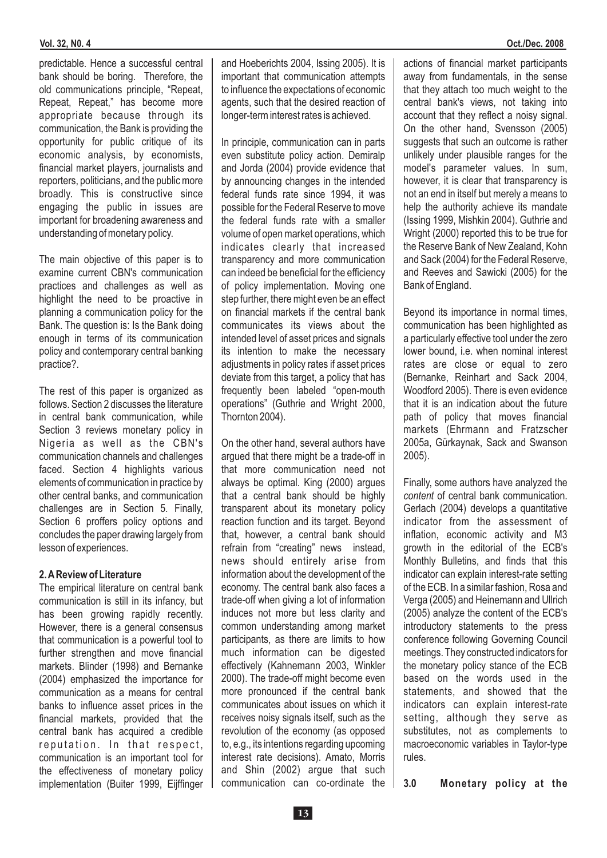#### **Vol. 32, N0. 4 Oct./Dec. 2008**

predictable. Hence a successful central bank should be boring. Therefore, the old communications principle, "Repeat, Repeat, Repeat," has become more appropriate because through its communication, the Bank is providing the opportunity for public critique of its economic analysis, by economists, financial market players, journalists and reporters, politicians, and the public more broadly. This is constructive since engaging the public in issues are important for broadening awareness and understanding of monetary policy.

The main objective of this paper is to examine current CBN's communication practices and challenges as well as highlight the need to be proactive in planning a communication policy for the Bank. The question is: Is the Bank doing enough in terms of its communication policy and contemporary central banking practice?.

The rest of this paper is organized as follows. Section 2 discusses the literature in central bank communication, while Section 3 reviews monetary policy in Nigeria as well as the CBN's communication channels and challenges faced. Section 4 highlights various elements of communication in practice by other central banks, and communication challenges are in Section 5. Finally, Section 6 proffers policy options and concludes the paper drawing largely from lesson of experiences.

#### **2.AReview of Literature**

The empirical literature on central bank communication is still in its infancy, but has been growing rapidly recently. However, there is a general consensus that communication is a powerful tool to further strengthen and move financial markets. Blinder (1998) and Bernanke (2004) emphasized the importance for communication as a means for central banks to influence asset prices in the financial markets, provided that the central bank has acquired a credible reputation. In that respect, communication is an important tool for the effectiveness of monetary policy implementation (Buiter 1999, Eijffinger

and Hoeberichts 2004, Issing 2005). It is important that communication attempts to influence the expectations of economic agents, such that the desired reaction of longer-term interest rates is achieved.

In principle, communication can in parts even substitute policy action. Demiralp and Jorda (2004) provide evidence that by announcing changes in the intended federal funds rate since 1994, it was possible for the Federal Reserve to move the federal funds rate with a smaller volume of open market operations, which indicates clearly that increased transparency and more communication can indeed be beneficial for the efficiency of policy implementation. Moving one step further, there might even be an effect on financial markets if the central bank communicates its views about the intended level of asset prices and signals its intention to make the necessary adjustments in policy rates if asset prices deviate from this target, a policy that has frequently been labeled "open-mouth operations" (Guthrie and Wright 2000, Thornton 2004).

On the other hand, several authors have argued that there might be a trade-off in that more communication need not always be optimal. King (2000) argues that a central bank should be highly transparent about its monetary policy reaction function and its target. Beyond that, however, a central bank should refrain from "creating" news instead, news should entirely arise from information about the development of the economy. The central bank also faces a trade-off when giving a lot of information induces not more but less clarity and common understanding among market participants, as there are limits to how much information can be digested effectively (Kahnemann 2003, Winkler 2000). The trade-off might become even more pronounced if the central bank communicates about issues on which it receives noisy signals itself, such as the revolution of the economy (as opposed to, e.g., its intentions regarding upcoming interest rate decisions). Amato, Morris and Shin (2002) argue that such communication can co-ordinate the actions of financial market participants away from fundamentals, in the sense that they attach too much weight to the central bank's views, not taking into account that they reflect a noisy signal. On the other hand, Svensson (2005) suggests that such an outcome is rather unlikely under plausible ranges for the model's parameter values. In sum, however, it is clear that transparency is not an end in itself but merely a means to help the authority achieve its mandate (Issing 1999, Mishkin 2004). Guthrie and Wright (2000) reported this to be true for the Reserve Bank of New Zealand, Kohn and Sack (2004) for the Federal Reserve, and Reeves and Sawicki (2005) for the Bank of England.

Beyond its importance in normal times, communication has been highlighted as a particularly effective tool under the zero lower bound, i.e. when nominal interest rates are close or equal to zero (Bernanke, Reinhart and Sack 2004, Woodford 2005). There is even evidence that it is an indication about the future path of policy that moves financial markets (Ehrmann and Fratzscher 2005a, Gürkaynak, Sack and Swanson 2005).

Finally, some authors have analyzed the content of central bank communication. Gerlach (2004) develops a quantitative indicator from the assessment of inflation, economic activity and M3 growth in the editorial of the ECB's Monthly Bulletins, and finds that this indicator can explain interest-rate setting of the ECB. In a similar fashion, Rosa and Verga (2005) and Heinemann and Ullrich (2005) analyze the content of the ECB's introductory statements to the press conference following Governing Council meetings. They constructed indicators for the monetary policy stance of the ECB based on the words used in the statements, and showed that the indicators can explain interest-rate setting, although they serve as substitutes, not as complements to macroeconomic variables in Taylor-type rules.

**3.0 Monetary policy at the**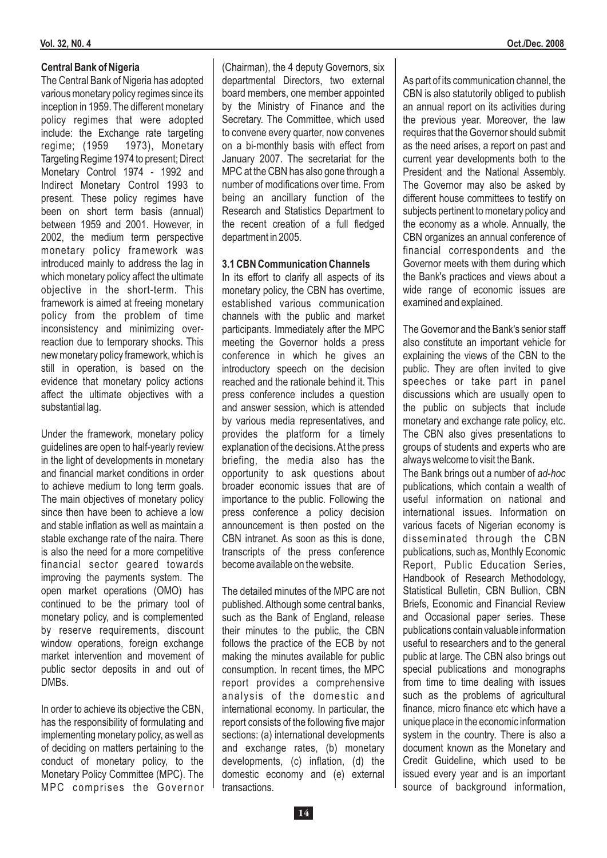#### **Vol. 32, N0. 4 Oct./Dec. 2008**

#### **Central Bank of Nigeria**

The Central Bank of Nigeria has adopted various monetary policy regimes since its inception in 1959. The different monetary policy regimes that were adopted include: the Exchange rate targeting regime; (1959 1973), Monetary Targeting Regime 1974 to present; Direct Monetary Control 1974 - 1992 and Indirect Monetary Control 1993 to present. These policy regimes have been on short term basis (annual) between 1959 and 2001. However, in 2002, the medium term perspective monetary policy framework was introduced mainly to address the lag in which monetary policy affect the ultimate objective in the short-term. This framework is aimed at freeing monetary policy from the problem of time inconsistency and minimizing overreaction due to temporary shocks. This new monetary policy framework, which is still in operation, is based on the evidence that monetary policy actions affect the ultimate objectives with a substantial lag.

Under the framework, monetary policy guidelines are open to half-yearly review in the light of developments in monetary and financial market conditions in order to achieve medium to long term goals. The main objectives of monetary policy since then have been to achieve a low and stable inflation as well as maintain a stable exchange rate of the naira. There is also the need for a more competitive financial sector geared towards improving the payments system. The open market operations (OMO) has continued to be the primary tool of monetary policy, and is complemented by reserve requirements, discount window operations, foreign exchange market intervention and movement of public sector deposits in and out of DMBs.

In order to achieve its objective the CBN. has the responsibility of formulating and implementing monetary policy, as well as of deciding on matters pertaining to the conduct of monetary policy, to the Monetary Policy Committee (MPC). The MPC comprises the Governor (Chairman), the 4 deputy Governors, six departmental Directors, two external board members, one member appointed by the Ministry of Finance and the Secretary. The Committee, which used to convene every quarter, now convenes on a bi-monthly basis with effect from January 2007. The secretariat for the MPC at the CBN has also gone through a number of modifications over time. From being an ancillary function of the Research and Statistics Department to the recent creation of a full fledged department in 2005.

#### **3.1 CBN Communication Channels**

In its effort to clarify all aspects of its monetary policy, the CBN has overtime, established various communication channels with the public and market participants. Immediately after the MPC meeting the Governor holds a press conference in which he gives an introductory speech on the decision reached and the rationale behind it. This press conference includes a question and answer session, which is attended by various media representatives, and provides the platform for a timely explanation of the decisions. At the press briefing, the media also has the opportunity to ask questions about broader economic issues that are of importance to the public. Following the press conference a policy decision announcement is then posted on the CBN intranet. As soon as this is done, transcripts of the press conference become available on the website.

The detailed minutes of the MPC are not published. Although some central banks, such as the Bank of England, release their minutes to the public, the CBN follows the practice of the ECB by not making the minutes available for public consumption. In recent times, the MPC report provides a comprehensive analysis of the domestic and international economy. In particular, the report consists of the following five major sections: (a) international developments and exchange rates, (b) monetary developments, (c) inflation, (d) the domestic economy and (e) external transactions.

As part of its communication channel, the CBN is also statutorily obliged to publish an annual report on its activities during the previous year. Moreover, the law requires that the Governor should submit as the need arises, a report on past and current year developments both to the President and the National Assembly. The Governor may also be asked by different house committees to testify on subjects pertinent to monetary policy and the economy as a whole. Annually, the CBN organizes an annual conference of financial correspondents and the Governor meets with them during which the Bank's practices and views about a wide range of economic issues are examined and explained.

The Governor and the Bank's senior staff also constitute an important vehicle for explaining the views of the CBN to the public. They are often invited to give speeches or take part in panel discussions which are usually open to the public on subjects that include monetary and exchange rate policy, etc. The CBN also gives presentations to groups of students and experts who are always welcome to visit the Bank.

The Bank brings out a number of *ad-hoc*publications, which contain a wealth of useful information on national and international issues. Information on various facets of Nigerian economy is disseminated through the CBN publications, such as, Monthly Economic Report, Public Education Series, Handbook of Research Methodology, Statistical Bulletin, CBN Bullion, CBN Briefs, Economic and Financial Review and Occasional paper series. These publications contain valuable information useful to researchers and to the general public at large. The CBN also brings out special publications and monographs from time to time dealing with issues such as the problems of agricultural finance, micro finance etc which have a unique place in the economic information system in the country. There is also a document known as the Monetary and Credit Guideline, which used to be issued every year and is an important source of background information,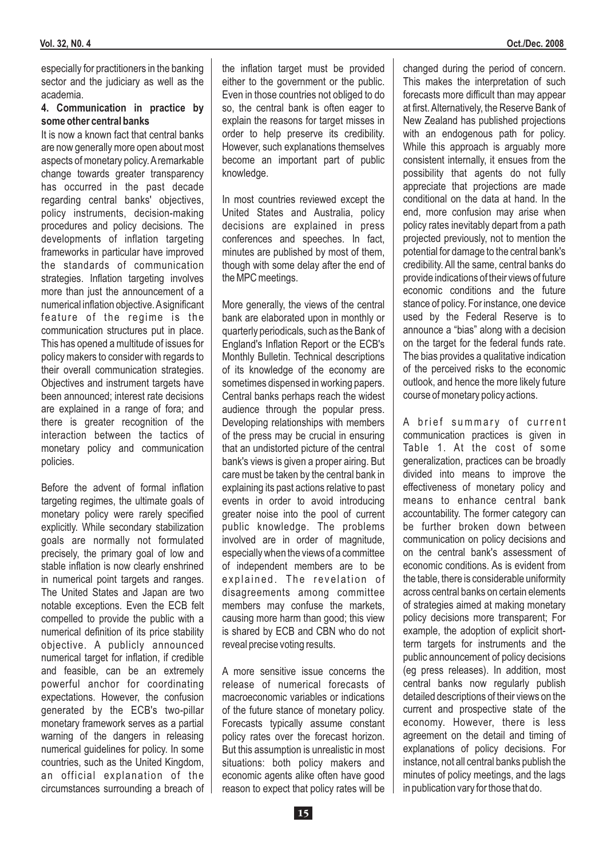especially for practitioners in the banking sector and the judiciary as well as the academia.

#### **4. Communication in practice by some other central banks**

It is now a known fact that central banks are now generally more open about most aspects of monetary policy.Aremarkable change towards greater transparency has occurred in the past decade regarding central banks' objectives, policy instruments, decision-making procedures and policy decisions. The developments of inflation targeting frameworks in particular have improved the standards of communication strategies. Inflation targeting involves more than just the announcement of a numerical inflation objective.Asignificant feature of the regime is the communication structures put in place. This has opened a multitude of issues for policy makers to consider with regards to their overall communication strategies. Objectives and instrument targets have been announced; interest rate decisions are explained in a range of fora; and there is greater recognition of the interaction between the tactics of monetary policy and communication policies.

Before the advent of formal inflation targeting regimes, the ultimate goals of monetary policy were rarely specified explicitly. While secondary stabilization goals are normally not formulated precisely, the primary goal of low and stable inflation is now clearly enshrined in numerical point targets and ranges. The United States and Japan are two notable exceptions. Even the ECB felt compelled to provide the public with a numerical definition of its price stability objective. A publicly announced numerical target for inflation, if credible and feasible, can be an extremely powerful anchor for coordinating expectations. However, the confusion generated by the ECB's two-pillar monetary framework serves as a partial warning of the dangers in releasing numerical guidelines for policy. In some countries, such as the United Kingdom, an official explanation of the circumstances surrounding a breach of the inflation target must be provided either to the government or the public. Even in those countries not obliged to do so, the central bank is often eager to explain the reasons for target misses in order to help preserve its credibility. However, such explanations themselves become an important part of public knowledge.

In most countries reviewed except the United States and Australia, policy decisions are explained in press conferences and speeches. In fact, minutes are published by most of them, though with some delay after the end of the MPC meetings.

More generally, the views of the central bank are elaborated upon in monthly or quarterly periodicals, such as the Bank of England's Inflation Report or the ECB's Monthly Bulletin. Technical descriptions of its knowledge of the economy are sometimes dispensed in working papers. Central banks perhaps reach the widest audience through the popular press. Developing relationships with members of the press may be crucial in ensuring that an undistorted picture of the central bank's views is given a proper airing. But care must be taken by the central bank in explaining its past actions relative to past events in order to avoid introducing greater noise into the pool of current public knowledge. The problems involved are in order of magnitude, especially when the views of a committee of independent members are to be explained. The revelation of disagreements among committee members may confuse the markets, causing more harm than good; this view is shared by ECB and CBN who do not reveal precise voting results.

A more sensitive issue concerns the release of numerical forecasts of macroeconomic variables or indications of the future stance of monetary policy. Forecasts typically assume constant policy rates over the forecast horizon. But this assumption is unrealistic in most situations: both policy makers and economic agents alike often have good reason to expect that policy rates will be changed during the period of concern. This makes the interpretation of such forecasts more difficult than may appear at first.Alternatively, the Reserve Bank of New Zealand has published projections with an endogenous path for policy. While this approach is arguably more consistent internally, it ensues from the possibility that agents do not fully appreciate that projections are made conditional on the data at hand. In the end, more confusion may arise when policy rates inevitably depart from a path projected previously, not to mention the potential for damage to the central bank's credibility. All the same, central banks do provide indications of their views of future economic conditions and the future stance of policy. For instance, one device used by the Federal Reserve is to announce a "bias" along with a decision on the target for the federal funds rate. The bias provides a qualitative indication of the perceived risks to the economic outlook, and hence the more likely future course of monetary policy actions.

A brief summary of current communication practices is given in Table 1. At the cost of some generalization, practices can be broadly divided into means to improve the effectiveness of monetary policy and means to enhance central bank accountability. The former category can be further broken down between communication on policy decisions and on the central bank's assessment of economic conditions. As is evident from the table, there is considerable uniformity across central banks on certain elements of strategies aimed at making monetary policy decisions more transparent; For example, the adoption of explicit shortterm targets for instruments and the public announcement of policy decisions (eg press releases). In addition, most central banks now regularly publish detailed descriptions of their views on the current and prospective state of the economy. However, there is less agreement on the detail and timing of explanations of policy decisions. For instance, not all central banks publish the minutes of policy meetings, and the lags in publication vary for those that do.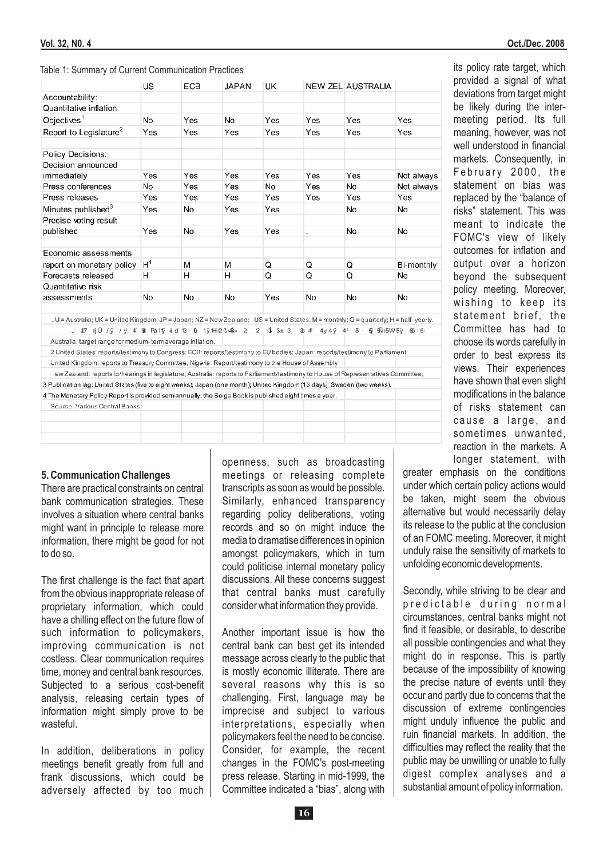#### Table 1: Summary of Current Communication Practices

|                                                                                                                                       | US.            | ECB | JAPAN | UK  |     | NEW ZEL AUSTRALIA |            |
|---------------------------------------------------------------------------------------------------------------------------------------|----------------|-----|-------|-----|-----|-------------------|------------|
| Accountability:                                                                                                                       |                |     |       |     |     |                   |            |
| Quantitative inflation                                                                                                                |                |     |       |     |     |                   |            |
| Objectives <sup>1</sup>                                                                                                               | No             | Yes | No    | Yes | Yes | Yes               | Yes        |
| Report to Legislature <sup>2</sup>                                                                                                    | Yes            | Yes | Yes   | Yes | Yes | Yes               | Yes        |
| Policy Decisions:                                                                                                                     |                |     |       |     |     |                   |            |
| Decision announced                                                                                                                    |                |     |       |     |     |                   |            |
| immediatelv                                                                                                                           | Yes            | Yes | Yes   | Yes | Yes | Yes               | Not always |
| Press conferences                                                                                                                     | No             | Yes | Yes   | No. | Yes | No                | Not always |
| Press releases                                                                                                                        | Yes            | Yes | Yes   | Yes | Yes | Yes               | Yes        |
| Minutes published <sup>3</sup>                                                                                                        | Yes            | No  | Yes   | Yes |     | No.               | No         |
| Precise voting result                                                                                                                 |                |     |       |     |     |                   |            |
| published                                                                                                                             | Yes            | No  | Yes   | Yes |     | No                | No         |
| Economic assessments                                                                                                                  |                |     |       |     |     |                   |            |
| report on monetary policy                                                                                                             | H <sup>4</sup> | м   | M     | Q   | Q   | Q                 | Bi-monthly |
| Forecasts released                                                                                                                    | н              | н   | н     | Q   | Q   | Q                 | No         |
| Quantitative risk                                                                                                                     |                |     |       |     |     |                   |            |
| assessments                                                                                                                           | No             | No  | No    | Yes | No  | No                | No         |
| LU = Australia; UK = United Kingdom; JP = Japan; NZ = New Zealand; ; US = United States. M = monthly; Q = quarterly; H = half-yearly. |                |     |       |     |     |                   |            |
| J J7 njÚ /ÿ /ÿ 4 00 Pál1ý kid 13 F10 11ÿ1Hl2Be4‰ 2 - 2 -13 13±l3 t 06 k4° 4yk4ÿ k4° 15 T l5y b≸l15Wl5ÿ 66 L61                         |                |     |       |     |     |                   |            |
| Australia: target range for medium- term average inflation.                                                                           |                |     |       |     |     |                   |            |
| 2 United States: reports/testimony to Congress; ECB: reports/testimony to EU bodies; Japan: reports/testimony to Parliament;          |                |     |       |     |     |                   |            |
| United Kingdom: reports to Treasury Committee; Nigeria: Report/testimony to the House of Assembly                                     |                |     |       |     |     |                   |            |
| ew Zealand: reports to/hearings in legislature; Australia: reports to Parliament/testimony to House of Representatives Committee;     |                |     |       |     |     |                   |            |
| 3 Publication lag: United States (five to eight weeks); Japan (one month); United Kingdom (13 days); Sweden (two weeks).              |                |     |       |     |     |                   |            |
| 4 The Monetary Policy Report is provided semiannually; the Beige Book is published eight times a year.                                |                |     |       |     |     |                   |            |
| Source: Various Central Banks                                                                                                         |                |     |       |     |     |                   |            |
|                                                                                                                                       |                |     |       |     |     |                   |            |
|                                                                                                                                       |                |     |       |     |     |                   |            |
|                                                                                                                                       |                |     |       |     |     |                   |            |

#### **5. Communication Challenges**

There are practical constraints on central bank communication strategies. These involves a situation where central banks might want in principle to release more information, there might be good for not to do so.

The first challenge is the fact that apart from the obvious inappropriate release of proprietary information, which could have a chilling effect on the future flow of such information to policymakers, improving communication is not costless. Clear communication requires time, money and central bank resources. Subjected to a serious cost-benefit analysis, releasing certain types of information might simply prove to be wasteful.

In addition, deliberations in policy meetings benefit greatly from full and frank discussions, which could be adversely affected by too much openness, such as broadcasting meetings or releasing complete transcripts as soon as would be possible. Similarly, enhanced transparency regarding policy deliberations, voting records and so on might induce the media to dramatise differences in opinion amongst policymakers, which in turn could politicise internal monetary policy discussions. All these concerns suggest that central banks must carefully consider what information they provide.

Another important issue is how the central bank can best get its intended message across clearly to the public that is mostly economic illiterate. There are several reasons why this is so challenging. First, language may be imprecise and subject to various interpretations, especially when policymakers feel the need to be concise. Consider, for example, the recent changes in the FOMC's post-meeting press release. Starting in mid-1999, the Committee indicated a "bias", along with its policy rate target, which provided a signal of what deviations from target might be likely during the intermeeting period. Its full meaning, however, was not well understood in financial markets. Consequently, in February 2000, the statement on bias was replaced by the "balance of risks" statement. This was meant to indicate the FOMC's view of likely outcomes for inflation and output over a horizon beyond the subsequent policy meeting. Moreover, wishing to keep its statement brief, the Committee has had to choose its words carefully in order to best express its views. Their experiences have shown that even slight modifications in the balance of risks statement can cause a large, and sometimes unwanted, reaction in the markets. A longer statement, with

greater emphasis on the conditions under which certain policy actions would be taken, might seem the obvious alternative but would necessarily delay its release to the public at the conclusion of an FOMC meeting. Moreover, it might unduly raise the sensitivity of markets to unfolding economic developments.

Secondly, while striving to be clear and predictable during normal circumstances, central banks might not find it feasible, or desirable, to describe all possible contingencies and what they might do in response. This is partly because of the impossibility of knowing the precise nature of events until they occur and partly due to concerns that the discussion of extreme contingencies might unduly influence the public and ruin financial markets. In addition, the difficulties may reflect the reality that the public may be unwilling or unable to fully digest complex analyses and a substantial amount of policy information.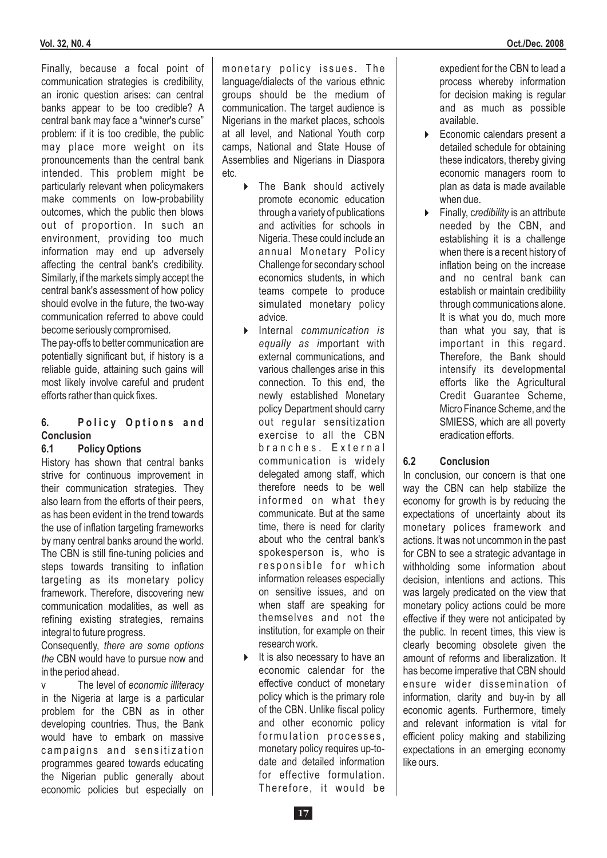Finally, because a focal point of communication strategies is credibility, an ironic question arises: can central banks appear to be too credible? A central bank may face a "winner's curse" problem: if it is too credible, the public may place more weight on its pronouncements than the central bank intended. This problem might be particularly relevant when policymakers make comments on low-probability outcomes, which the public then blows out of proportion. In such an environment, providing too much information may end up adversely affecting the central bank's credibility. Similarly, if the markets simply accept the central bank's assessment of how policy should evolve in the future, the two-way communication referred to above could become seriously compromised.

The pay-offs to better communication are potentially significant but, if history is a reliable guide, attaining such gains will most likely involve careful and prudent efforts rather than quick fixes.

#### **6.** Policy Options and **Conclusion**

#### **6.1 Policy Options**

History has shown that central banks strive for continuous improvement in their communication strategies. They also learn from the efforts of their peers, as has been evident in the trend towards the use of inflation targeting frameworks by many central banks around the world. The CBN is still fine-tuning policies and steps towards transiting to inflation targeting as its monetary policy framework. Therefore, discovering new communication modalities, as well as refining existing strategies, remains integral to future progress.

Consequently, *there are some options* CBN would have to pursue now and *the* in the period ahead.

v The level of *economic illiteracy* in the Nigeria at large is a particular problem for the CBN as in other developing countries. Thus, the Bank would have to embark on massive campaigns and sensitization programmes geared towards educating the Nigerian public generally about economic policies but especially on

monetary policy issues. The language/dialects of the various ethnic groups should be the medium of communication. The target audience is Nigerians in the market places, schools at all level, and National Youth corp camps, National and State House of Assemblies and Nigerians in Diaspora etc.

- The Bank should actively 4 promote economic education through a variety of publications and activities for schools in Nigeria. These could include an annual Monetary Policy Challenge for secondary school economics students, in which teams compete to produce simulated monetary policy advice.
- Internal *communication is* 4 equally as important with external communications, and various challenges arise in this connection. To this end, the newly established Monetary policy Department should carry out regular sensitization exercise to all the CBN branches. External communication is widely delegated among staff, which therefore needs to be well informed on what they communicate. But at the same time, there is need for clarity about who the central bank's spokesperson is, who is responsible for which information releases especially on sensitive issues, and on when staff are speaking for themselves and not the institution, for example on their research work.
- $\triangleright$  It is also necessary to have an economic calendar for the effective conduct of monetary policy which is the primary role of the CBN. Unlike fiscal policy and other economic policy formulation processes, monetary policy requires up-todate and detailed information for effective formulation. Therefore, it would be

expedient for the CBN to lead a process whereby information for decision making is regular and as much as possible available.

- Economic calendars present a detailed schedule for obtaining these indicators, thereby giving economic managers room to plan as data is made available when due. 4
- **Finally, credibility is an attribute** needed by the CBN, and establishing it is a challenge when there is a recent history of inflation being on the increase and no central bank can establish or maintain credibility through communications alone. It is what you do, much more than what you say, that is important in this regard. Therefore, the Bank should intensify its developmental efforts like the Agricultural Credit Guarantee Scheme, Micro Finance Scheme, and the SMIESS, which are all poverty eradication efforts.

#### **6.2 Conclusion**

In conclusion, our concern is that one way the CBN can help stabilize the economy for growth is by reducing the expectations of uncertainty about its monetary polices framework and actions. It was not uncommon in the past for CBN to see a strategic advantage in withholding some information about decision, intentions and actions. This was largely predicated on the view that monetary policy actions could be more effective if they were not anticipated by the public. In recent times, this view is clearly becoming obsolete given the amount of reforms and liberalization. It has become imperative that CBN should ensure wider dissemination of information, clarity and buy-in by all economic agents. Furthermore, timely and relevant information is vital for efficient policy making and stabilizing expectations in an emerging economy like ours.